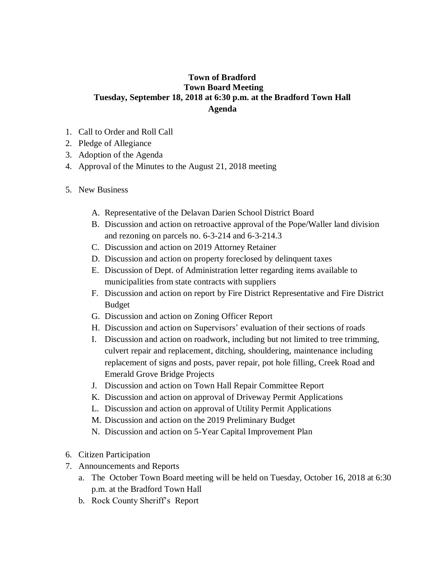## **Town of Bradford Town Board Meeting Tuesday, September 18, 2018 at 6:30 p.m. at the Bradford Town Hall Agenda**

- 1. Call to Order and Roll Call
- 2. Pledge of Allegiance
- 3. Adoption of the Agenda
- 4. Approval of the Minutes to the August 21, 2018 meeting
- 5. New Business
	- A. Representative of the Delavan Darien School District Board
	- B. Discussion and action on retroactive approval of the Pope/Waller land division and rezoning on parcels no. 6-3-214 and 6-3-214.3
	- C. Discussion and action on 2019 Attorney Retainer
	- D. Discussion and action on property foreclosed by delinquent taxes
	- E. Discussion of Dept. of Administration letter regarding items available to municipalities from state contracts with suppliers
	- F. Discussion and action on report by Fire District Representative and Fire District Budget
	- G. Discussion and action on Zoning Officer Report
	- H. Discussion and action on Supervisors' evaluation of their sections of roads
	- I. Discussion and action on roadwork, including but not limited to tree trimming, culvert repair and replacement, ditching, shouldering, maintenance including replacement of signs and posts, paver repair, pot hole filling, Creek Road and Emerald Grove Bridge Projects
	- J. Discussion and action on Town Hall Repair Committee Report
	- K. Discussion and action on approval of Driveway Permit Applications
	- L. Discussion and action on approval of Utility Permit Applications
	- M. Discussion and action on the 2019 Preliminary Budget
	- N. Discussion and action on 5-Year Capital Improvement Plan
- 6. Citizen Participation
- 7. Announcements and Reports
	- a. The October Town Board meeting will be held on Tuesday, October 16, 2018 at 6:30 p.m. at the Bradford Town Hall
	- b. Rock County Sheriff's Report